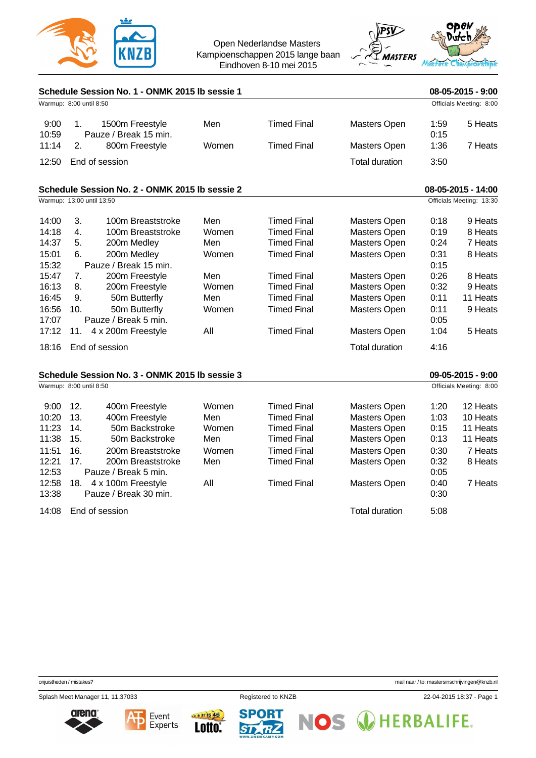

Open Nederlandse Masters Kampioenschappen 2015 lange baan Eindhoven 8-10 mei 2015



| Schedule Session No. 1 - ONMK 2015 lb sessie 1 |                           |                                                |       |                                          |                       |                      | 08-05-2015 - 9:00        |  |
|------------------------------------------------|---------------------------|------------------------------------------------|-------|------------------------------------------|-----------------------|----------------------|--------------------------|--|
| Warmup: 8:00 until 8:50                        | Officials Meeting: 8:00   |                                                |       |                                          |                       |                      |                          |  |
| 9:00<br>10:59<br>11:14                         | 1.<br>2.                  | 1500m Freestyle<br>Pauze / Break 15 min.       | Men   | <b>Timed Final</b><br><b>Timed Final</b> | <b>Masters Open</b>   | 1:59<br>0:15<br>1:36 | 5 Heats<br>7 Heats       |  |
|                                                |                           | 800m Freestyle                                 | Women |                                          | <b>Masters Open</b>   |                      |                          |  |
| 12:50                                          | End of session            |                                                |       |                                          | <b>Total duration</b> | 3:50                 |                          |  |
|                                                |                           | Schedule Session No. 2 - ONMK 2015 lb sessie 2 |       |                                          |                       |                      | 08-05-2015 - 14:00       |  |
|                                                | Warmup: 13:00 until 13:50 |                                                |       |                                          |                       |                      | Officials Meeting: 13:30 |  |
| 14:00                                          | 3.                        | 100m Breaststroke                              | Men   | <b>Timed Final</b>                       | Masters Open          | 0:18                 | 9 Heats                  |  |
| 14:18                                          | 4.                        | 100m Breaststroke                              | Women | <b>Timed Final</b>                       | Masters Open          | 0:19                 | 8 Heats                  |  |
| 14:37                                          | 5.                        | 200m Medley                                    | Men   | <b>Timed Final</b>                       | <b>Masters Open</b>   | 0:24                 | 7 Heats                  |  |
| 15:01<br>15:32                                 | 6.                        | 200m Medley<br>Pauze / Break 15 min.           | Women | <b>Timed Final</b>                       | <b>Masters Open</b>   | 0:31<br>0:15         | 8 Heats                  |  |
| 15:47                                          | 7.                        | 200m Freestyle                                 | Men   | <b>Timed Final</b>                       | Masters Open          | 0:26                 | 8 Heats                  |  |
| 16:13                                          | 8.                        | 200m Freestyle                                 | Women | <b>Timed Final</b>                       | Masters Open          | 0:32                 | 9 Heats                  |  |
| 16:45                                          | 9.                        | 50m Butterfly                                  | Men   | <b>Timed Final</b>                       | <b>Masters Open</b>   | 0:11                 | 11 Heats                 |  |
| 16:56<br>17:07                                 | 10.                       | 50m Butterfly<br>Pauze / Break 5 min.          | Women | <b>Timed Final</b>                       | <b>Masters Open</b>   | 0:11<br>0:05         | 9 Heats                  |  |
| 17:12                                          | 11.                       | 4 x 200m Freestyle                             | All   | <b>Timed Final</b>                       | Masters Open          | 1:04                 | 5 Heats                  |  |
| 18:16                                          | End of session            |                                                |       |                                          | <b>Total duration</b> | 4:16                 |                          |  |
| Schedule Session No. 3 - ONMK 2015 lb sessie 3 |                           |                                                |       |                                          |                       |                      | 09-05-2015 - 9:00        |  |
|                                                | Warmup: 8:00 until 8:50   |                                                |       |                                          |                       |                      | Officials Meeting: 8:00  |  |
| 9:00                                           | 12.                       | 400m Freestyle                                 | Women | <b>Timed Final</b>                       | Masters Open          | 1:20                 | 12 Heats                 |  |
| 10:20                                          | 13.                       | 400m Freestyle                                 | Men   | <b>Timed Final</b>                       | Masters Open          | 1:03                 | 10 Heats                 |  |
| 11:23                                          | 14.                       | 50m Backstroke                                 | Women | <b>Timed Final</b>                       | <b>Masters Open</b>   | 0:15                 | 11 Heats                 |  |
| 11:38                                          | 15.                       | 50m Backstroke                                 | Men   | <b>Timed Final</b>                       | Masters Open          | 0:13                 | 11 Heats                 |  |
| 11:51                                          | 16.                       | 200m Breaststroke                              | Women | <b>Timed Final</b>                       | Masters Open          | 0:30                 | 7 Heats                  |  |
| 12:21                                          | 17.                       | 200m Breaststroke                              | Men   | <b>Timed Final</b>                       | <b>Masters Open</b>   | 0:32                 | 8 Heats                  |  |
| 12:53                                          |                           | Pauze / Break 5 min.                           |       |                                          |                       | 0:05                 |                          |  |
| 12:58                                          | 18.                       | 4 x 100m Freestyle<br>Pauze / Break 30 min.    | All   | <b>Timed Final</b>                       | <b>Masters Open</b>   | 0:40                 | 7 Heats                  |  |
| 13:38                                          |                           |                                                |       |                                          |                       | 0:30                 |                          |  |
| 14:08                                          | End of session            |                                                |       |                                          | <b>Total duration</b> | 5:08                 |                          |  |

Splash Meet Manager 11, 11.37033 Registered to KNZB 22-04-2015 18:37 - Page 1











onjuistheden / mistakes? mail naar / to: [mastersinschrijvingen@knzb.nl](mailto:mastersinschrijvingen@knzb.nl)